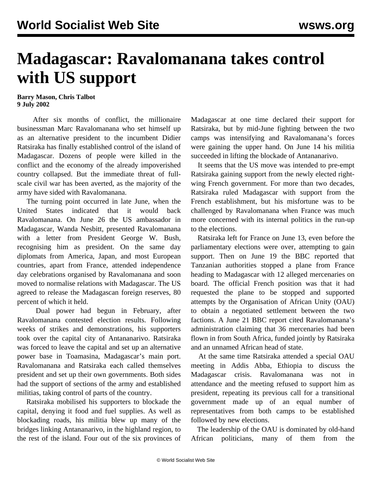## **Madagascar: Ravalomanana takes control with US support**

**Barry Mason, Chris Talbot 9 July 2002**

 After six months of conflict, the millionaire businessman Marc Ravalomanana who set himself up as an alternative president to the incumbent Didier Ratsiraka has finally established control of the island of Madagascar. Dozens of people were killed in the conflict and the economy of the already impoverished country collapsed. But the immediate threat of fullscale civil war has been averted, as the majority of the army have sided with Ravalomanana.

 The turning point occurred in late June, when the United States indicated that it would back Ravalomanana. On June 26 the US ambassador in Madagascar, Wanda Nesbitt, presented Ravalomanana with a letter from President George W. Bush, recognising him as president. On the same day diplomats from America, Japan, and most European countries, apart from France, attended independence day celebrations organised by Ravalomanana and soon moved to normalise relations with Madagascar. The US agreed to release the Madagascan foreign reserves, 80 percent of which it held.

 Dual power had begun in February, after Ravalomanana contested election results. Following weeks of strikes and demonstrations, his supporters took over the capital city of Antananarivo. Ratsiraka was forced to leave the capital and set up an alternative power base in Toamasina, Madagascar's main port. Ravalomanana and Ratsiraka each called themselves president and set up their own governments. Both sides had the support of sections of the army and established militias, taking control of parts of the country.

 Ratsiraka mobilised his supporters to blockade the capital, denying it food and fuel supplies. As well as blockading roads, his militia blew up many of the bridges linking Antananarivo, in the highland region, to the rest of the island. Four out of the six provinces of Madagascar at one time declared their support for Ratsiraka, but by mid-June fighting between the two camps was intensifying and Ravalomanana's forces were gaining the upper hand. On June 14 his militia succeeded in lifting the blockade of Antananarivo.

 It seems that the US move was intended to pre-empt Ratsiraka gaining support from the newly elected rightwing French government. For more than two decades, Ratsiraka ruled Madagascar with support from the French establishment, but his misfortune was to be challenged by Ravalomanana when France was much more concerned with its internal politics in the run-up to the elections.

 Ratsiraka left for France on June 13, even before the parliamentary elections were over, attempting to gain support. Then on June 19 the BBC reported that Tanzanian authorities stopped a plane from France heading to Madagascar with 12 alleged mercenaries on board. The official French position was that it had requested the plane to be stopped and supported attempts by the Organisation of African Unity (OAU) to obtain a negotiated settlement between the two factions. A June 21 BBC report cited Ravalomanana's administration claiming that 36 mercenaries had been flown in from South Africa, funded jointly by Ratsiraka and an unnamed African head of state.

 At the same time Ratsiraka attended a special OAU meeting in Addis Abba, Ethiopia to discuss the Madagascar crisis. Ravalomanana was not in attendance and the meeting refused to support him as president, repeating its previous call for a transitional government made up of an equal number of representatives from both camps to be established followed by new elections.

 The leadership of the OAU is dominated by old-hand African politicians, many of them from the